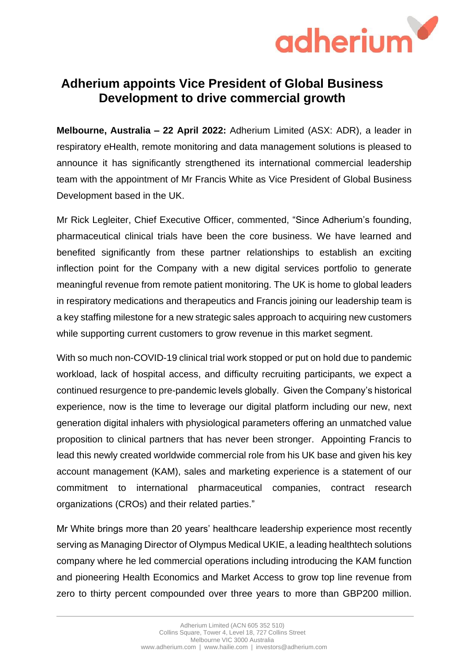

## **Adherium appoints Vice President of Global Business Development to drive commercial growth**

**Melbourne, Australia – 22 April 2022:** Adherium Limited (ASX: ADR), a leader in respiratory eHealth, remote monitoring and data management solutions is pleased to announce it has significantly strengthened its international commercial leadership team with the appointment of Mr Francis White as Vice President of Global Business Development based in the UK.

Mr Rick Legleiter, Chief Executive Officer, commented, "Since Adherium's founding, pharmaceutical clinical trials have been the core business. We have learned and benefited significantly from these partner relationships to establish an exciting inflection point for the Company with a new digital services portfolio to generate meaningful revenue from remote patient monitoring. The UK is home to global leaders in respiratory medications and therapeutics and Francis joining our leadership team is a key staffing milestone for a new strategic sales approach to acquiring new customers while supporting current customers to grow revenue in this market segment.

With so much non-COVID-19 clinical trial work stopped or put on hold due to pandemic workload, lack of hospital access, and difficulty recruiting participants, we expect a continued resurgence to pre-pandemic levels globally. Given the Company's historical experience, now is the time to leverage our digital platform including our new, next generation digital inhalers with physiological parameters offering an unmatched value proposition to clinical partners that has never been stronger. Appointing Francis to lead this newly created worldwide commercial role from his UK base and given his key account management (KAM), sales and marketing experience is a statement of our commitment to international pharmaceutical companies, contract research organizations (CROs) and their related parties."

Mr White brings more than 20 years' healthcare leadership experience most recently serving as Managing Director of Olympus Medical UKIE, a leading healthtech solutions company where he led commercial operations including introducing the KAM function and pioneering Health Economics and Market Access to grow top line revenue from zero to thirty percent compounded over three years to more than GBP200 million.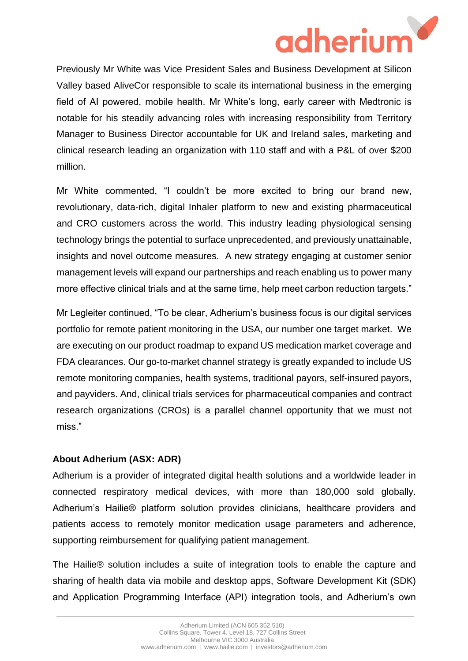

Valley based AliveCor responsible to scale its international business in the emerging field of AI powered, mobile health. Mr White's long, early career with Medtronic is notable for his steadily advancing roles with increasing responsibility from Territory Manager to Business Director accountable for UK and Ireland sales, marketing and clinical research leading an organization with 110 staff and with a P&L of over \$200 million.

Mr White commented, "I couldn't be more excited to bring our brand new, revolutionary, data-rich, digital Inhaler platform to new and existing pharmaceutical and CRO customers across the world. This industry leading physiological sensing technology brings the potential to surface unprecedented, and previously unattainable, insights and novel outcome measures. A new strategy engaging at customer senior management levels will expand our partnerships and reach enabling us to power many more effective clinical trials and at the same time, help meet carbon reduction targets."

Mr Legleiter continued, "To be clear, Adherium's business focus is our digital services portfolio for remote patient monitoring in the USA, our number one target market. We are executing on our product roadmap to expand US medication market coverage and FDA clearances. Our go-to-market channel strategy is greatly expanded to include US remote monitoring companies, health systems, traditional payors, self-insured payors, and payviders. And, clinical trials services for pharmaceutical companies and contract research organizations (CROs) is a parallel channel opportunity that we must not miss."

## **About Adherium (ASX: ADR)**

Adherium is a provider of integrated digital health solutions and a worldwide leader in connected respiratory medical devices, with more than 180,000 sold globally. Adherium's Hailie® platform solution provides clinicians, healthcare providers and patients access to remotely monitor medication usage parameters and adherence, supporting reimbursement for qualifying patient management.

The Hailie® solution includes a suite of integration tools to enable the capture and sharing of health data via mobile and desktop apps, Software Development Kit (SDK) and Application Programming Interface (API) integration tools, and Adherium's own